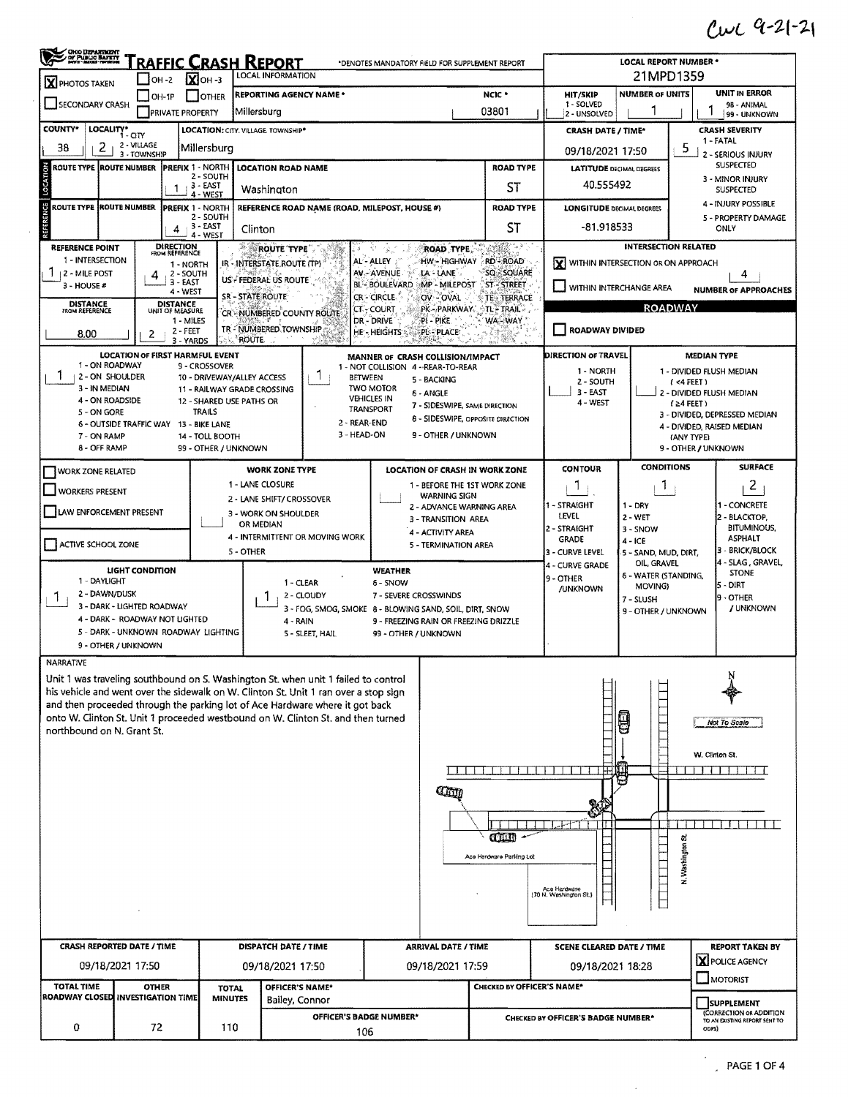## $CwC9-21-21$

| OHO DEPARTMENT                                                                                                                                                                                                                         | <b>RAFFIC CRASH REPORT</b><br>$IOH - 2$                                                                                                                                                                                                                   | $\sum$ OH-3                                                                                                                                                                    | <b>LOCAL INFORMATION</b>                                                                                                                                                                                                                                                                                                                       | *DENOTES MANDATORY FIELD FOR SUPPLEMENT REPORT                                                                                                                                                                                                                                                                                                                                                                                                                                                                                                                                          |                                                                         |                                                                                                                    | <b>LOCAL REPORT NUMBER *</b><br>21MPD1359                                                                        |                                                                                                                                                                                                                      |
|----------------------------------------------------------------------------------------------------------------------------------------------------------------------------------------------------------------------------------------|-----------------------------------------------------------------------------------------------------------------------------------------------------------------------------------------------------------------------------------------------------------|--------------------------------------------------------------------------------------------------------------------------------------------------------------------------------|------------------------------------------------------------------------------------------------------------------------------------------------------------------------------------------------------------------------------------------------------------------------------------------------------------------------------------------------|-----------------------------------------------------------------------------------------------------------------------------------------------------------------------------------------------------------------------------------------------------------------------------------------------------------------------------------------------------------------------------------------------------------------------------------------------------------------------------------------------------------------------------------------------------------------------------------------|-------------------------------------------------------------------------|--------------------------------------------------------------------------------------------------------------------|------------------------------------------------------------------------------------------------------------------|----------------------------------------------------------------------------------------------------------------------------------------------------------------------------------------------------------------------|
| <b>X</b> PHOTOS TAKEN<br>SECONDARY CRASH                                                                                                                                                                                               | $[OH-1P]$<br><b>PRIVATE PROPERTY</b>                                                                                                                                                                                                                      | <b>I</b> OTHER<br>Millersburg                                                                                                                                                  | <b>REPORTING AGENCY NAME *</b>                                                                                                                                                                                                                                                                                                                 |                                                                                                                                                                                                                                                                                                                                                                                                                                                                                                                                                                                         | NCIC <sup>*</sup><br>03801                                              | <b>HIT/SKIP</b><br>1 - SOLVED<br>2 - UNSOLVED                                                                      | <b>NUMBER OF UNITS</b>                                                                                           | UNIT IN ERROR<br>9B - ANIMAL<br>99 - UNKNOWN                                                                                                                                                                         |
| <b>COUNTY*</b><br>LOCALITY*<br>2<br>38                                                                                                                                                                                                 | 1 - CITY<br>2 - VILLAGE<br>3 - TOWNSHIP                                                                                                                                                                                                                   | LOCATION: CITY. VILLAGE TOWNSHIP*<br>Millersburg                                                                                                                               |                                                                                                                                                                                                                                                                                                                                                |                                                                                                                                                                                                                                                                                                                                                                                                                                                                                                                                                                                         |                                                                         | <b>CRASH DATE / TIME*</b><br>09/18/2021 17:50                                                                      |                                                                                                                  | <b>CRASH SEVERITY</b><br>1 - FATAL<br>5<br>2 - SERIOUS INJURY                                                                                                                                                        |
| <b>ROUTE TYPE</b>                                                                                                                                                                                                                      | PREFIX 1 - NORTH<br><b>ROUTE NUMBER</b><br>1                                                                                                                                                                                                              | 2 - SOUTH<br>3 - EAST<br>4 - WEST                                                                                                                                              | <b>LOCATION ROAD NAME</b><br>Washington                                                                                                                                                                                                                                                                                                        |                                                                                                                                                                                                                                                                                                                                                                                                                                                                                                                                                                                         | <b>ROAD TYPE</b><br>ST                                                  | <b>LATITUDE DECIMAL DEGREES</b><br>40.555492                                                                       |                                                                                                                  | <b>SUSPECTED</b><br>3 - MINOR INJURY<br>SUSPECTED                                                                                                                                                                    |
| ROUTE TYPE IROUTE NUMBER<br>ö<br>흹                                                                                                                                                                                                     | <b>PREFIX 1 - NORTH</b><br>4                                                                                                                                                                                                                              | 2 - SOUTH<br>$-3 - EAST$<br>Clinton<br>4 - WEST                                                                                                                                | REFERENCE ROAD NAME (ROAD, MILEPOST, HOUSE #)                                                                                                                                                                                                                                                                                                  |                                                                                                                                                                                                                                                                                                                                                                                                                                                                                                                                                                                         | <b>ROAD TYPE</b><br>ST                                                  | <b>LONGITUDE DECIMAL DEGREES</b><br>-81.918533                                                                     |                                                                                                                  | 4 - INJURY POSSIBLE<br>5 - PROPERTY DAMAGE<br>ONLY                                                                                                                                                                   |
| <b>REFERENCE POINT</b><br>1 - INTERSECTION<br><b>12 - MILE POST</b><br>3 - HOUSE #<br><b>DISTANCE</b><br>FROM REFERENCE<br>8.00<br>1 - ON ROADWAY<br>2 - ON SHOULDER<br>3 - IN MEDIAN<br>4 - ON ROADSIDE<br>5 - ON GORE<br>7 - ON RAMP | <b>DIRECTION</b><br>FROM REFERENCE<br>1 - NORTH<br>2 - SOUTH<br>3 - EAST<br>4 - WEST<br><b>DISTANCE</b><br>UNIT OF MEASURE<br>1 Miles<br>$2 - FEET$<br>2<br>3 - YARDS<br><b>LOCATION OF FIRST HARMFUL EVENT</b><br>6 - OUTSIDE TRAFFIC WAY 13 - BIKE LANE | SR - STATE ROUTE<br><b>ROUTE</b><br>9 - CROSSOVER<br>10 - DRIVEWAY/ALLEY ACCESS<br>11 - RAILWAY GRADE CROSSING<br>12 - SHARED USE PATHS OR<br><b>TRAILS</b><br>14 - TOLL BOOTH | <b>ROUTE TYPE</b><br>i di<br>IR - INTERSTATE ROUTE (TP)<br>US FEDERAL US ROUTE<br>CR - NUMBERED COUNTY ROUTE<br>TR - NUMBERED TOWNSHIP<br>$\mathbf{1}$                                                                                                                                                                                         | 51<br><b>ROAD TYPE.</b><br>13.<br>AL'-ALLEY<br>HW-HIGHWAY RD-ROAD<br>AV AVENUE<br>LA - LANE<br>BL- BOULEVARD MP - MILEPOST<br>CR - CIRCLE.<br>OV-OVAL<br>CT - COURT<br>PK - PARKWAY STL - TRAIL -<br>DR - DRIVE<br>PI - PIKE<br><b>HE-HEIGHTS</b><br>PL-PLACE:<br>MANNER OF CRASH COLLISION/IMPACT<br>1 - NOT COLLISION 4 - REAR-TO-REAR<br><b>BETWEEN</b><br>5 - BACKING<br><b>TWO MOTOR</b><br><b>6 - ANGLE</b><br><b>VEHICLES IN</b><br>7 - SIDESWIPE, SAME DIRECTION<br><b>TRANSPORT</b><br>8 - SIDESWIPE, OPPOSITE DIRECTION<br>2 - REAR-END<br>3 - HEAD-ON<br>9 - OTHER / UNKNOWN | Time.<br>SQ - SQUARE<br><b>ST-STREET</b><br><b>TE-TERRACE</b><br>WA-WAY | l۷<br><b>ROADWAY DIVIDED</b><br>DIRECTION OF TRAVEL<br>1 - NORTH<br>2 - SOUTH<br>3 - EAST<br>$4 - WEST$            | <b>INTERSECTION RELATED</b><br>WITHIN INTERSECTION OR ON APPROACH<br>WITHIN INTERCHANGE AREA<br><b>ROADWAY</b>   | 4<br><b>NUMBER OF APPROACHES</b><br><b>MEDIAN TYPE</b><br>1 - DIVIDED FLUSH MEDIAN<br>(4FEE)<br>2 - DIVIDED FLUSH MEDIAN<br>$(24$ FEET)<br>3 - DIVIDED, DEPRESSED MEDIAN<br>4 - DIVIDED, RAISED MEDIAN<br>(ANY TYPE) |
| WORK ZONE RELATED<br><b>WORKERS PRESENT</b><br>LAW ENFORCEMENT PRESENT<br>ACTIVE SCHOOL ZONE                                                                                                                                           | LIGHT CONDITION                                                                                                                                                                                                                                           | 5 - OTHER                                                                                                                                                                      | <b>WORK ZONE TYPE</b><br>1 - LANE CLOSURE<br>2 - LANE SHIFT/ CROSSOVER<br>3 - WORK ON SHOULDER<br>OR MEDIAN<br>4 - INTERMITTENT OR MOVING WORK                                                                                                                                                                                                 | LOCATION OF CRASH IN WORK ZONE<br>1 - BEFORE THE 1ST WORK ZONE<br><b>WARNING SIGN</b><br>2 - ADVANCE WARNING AREA<br>3 - TRANSITION AREA<br>4 - ACTIVITY AREA<br>5 - TERMINATION AREA<br><b>WEATHER</b>                                                                                                                                                                                                                                                                                                                                                                                 |                                                                         | <b>CONTOUR</b><br>Ŧ<br>1 - STRAIGHT<br>LEVEL<br>2 - STRAIGHT<br><b>GRADE</b><br>3 - CURVE LEVEL<br>4 - CURVE GRADE | <b>CONDITIONS</b><br>Ŧ<br>$1 - DRY$<br>$2 - WET$<br>3 - SNOW<br>$4 - ICE$<br>5 - SAND, MUD, DIRT,<br>OIL, GRAVEL | <b>SURFACE</b><br>$\overline{2}$<br>1 - CONCRETE<br>2 - BLACKTOP,<br><b>BITUMINOUS,</b><br><b>ASPHALT</b><br>3 - BRICK/BLOCK<br>4 - SLAG, GRAVEL,<br><b>STONE</b>                                                    |
| 1 - DAYLIGHT<br>2 - DAWN/DUSK<br>T                                                                                                                                                                                                     | 3 - DARK - LIGHTED ROADWAY<br>4 - DARK - ROADWAY NOT LIGHTED<br>5 - DARK - UNKNOWN ROADWAY LIGHTING<br>9 - OTHER / UNKNOWN                                                                                                                                |                                                                                                                                                                                | $1 - CLEAR$<br>2 - CLOUDY<br>$4 - RAIN$<br>5 - SLEET. HAIL                                                                                                                                                                                                                                                                                     | 6 - SNOW<br>7 - SEVERE CROSSWINDS<br>3 - FOG, SMOG, SMOKE 8 - BLOWING SAND, SOIL, DIRT, SNOW<br>9 - FREEZING RAIN OR FREEZING DRIZZLE<br>99 - OTHER / UNKNOWN                                                                                                                                                                                                                                                                                                                                                                                                                           |                                                                         | 9 - OTHER<br>/UNKNOWN                                                                                              | 6 - WATER (STANDING,<br>MOVING)<br>7 - SLUSH<br>9 - OTHER / UNKNOWN                                              | 5 - DIRT<br>9 - OTHER<br>/ UNKNOWN                                                                                                                                                                                   |
| <b>NARRATIVE</b><br>northbound on N. Grant St.                                                                                                                                                                                         |                                                                                                                                                                                                                                                           |                                                                                                                                                                                | Unit 1 was traveling southbound on S. Washington St. when unit 1 failed to control<br>his vehicle and went over the sidewalk on W. Clinton St. Unit 1 ran over a stop sign<br>and then proceeded through the parking lot of Ace Hardware where it got back<br>onto W. Clinton St. Unit 1 proceeded westbound on W. Clinton St. and then turned | $\sigma_{\rm min}$                                                                                                                                                                                                                                                                                                                                                                                                                                                                                                                                                                      | <b>CTTLET</b><br>Ace Hardware Parking Lot                               | Turian<br>Ace Hardware<br>(70 N. Weshington St.)                                                                   | Ū                                                                                                                | Not To Scale<br>W. Clinton St.<br>111111<br>à,<br>N. Washington                                                                                                                                                      |
| <b>CRASH REPORTED DATE / TIME</b>                                                                                                                                                                                                      |                                                                                                                                                                                                                                                           |                                                                                                                                                                                | <b>DISPATCH DATE / TIME</b>                                                                                                                                                                                                                                                                                                                    | <b>ARRIVAL DATE / TIME</b>                                                                                                                                                                                                                                                                                                                                                                                                                                                                                                                                                              |                                                                         | <b>SCENE CLEARED DATE / TIME</b>                                                                                   |                                                                                                                  | <b>REPORT TAKEN BY</b>                                                                                                                                                                                               |
| <b>TOTAL TIME</b>                                                                                                                                                                                                                      | 09/18/2021 17:50<br><b>OTHER</b>                                                                                                                                                                                                                          | <b>TOTAL</b>                                                                                                                                                                   | 09/18/2021 17:50<br>OFFICER'S NAME*                                                                                                                                                                                                                                                                                                            | 09/18/2021 17:59                                                                                                                                                                                                                                                                                                                                                                                                                                                                                                                                                                        | CHECKED BY OFFICER'S NAME*                                              | 09/18/2021 18:28                                                                                                   |                                                                                                                  | X POLICE AGENCY<br>MOTORIST                                                                                                                                                                                          |
|                                                                                                                                                                                                                                        | <b>ROADWAY CLOSED INVESTIGATION TIME</b>                                                                                                                                                                                                                  | <b>MINUTES</b>                                                                                                                                                                 | Bailey, Connor                                                                                                                                                                                                                                                                                                                                 | OFFICER'S BADGE NUMBER*                                                                                                                                                                                                                                                                                                                                                                                                                                                                                                                                                                 |                                                                         | CHECKED BY OFFICER'S BADGE NUMBER*                                                                                 |                                                                                                                  | <b>SUPPLEMENT</b><br>(CORRECTION OR ADDITION                                                                                                                                                                         |
| 0                                                                                                                                                                                                                                      | 72                                                                                                                                                                                                                                                        | 110                                                                                                                                                                            |                                                                                                                                                                                                                                                                                                                                                | 106                                                                                                                                                                                                                                                                                                                                                                                                                                                                                                                                                                                     |                                                                         |                                                                                                                    |                                                                                                                  | TO AN EXISTING REPORT SENT TO<br>ones)                                                                                                                                                                               |

 $\sim 10^{-11}$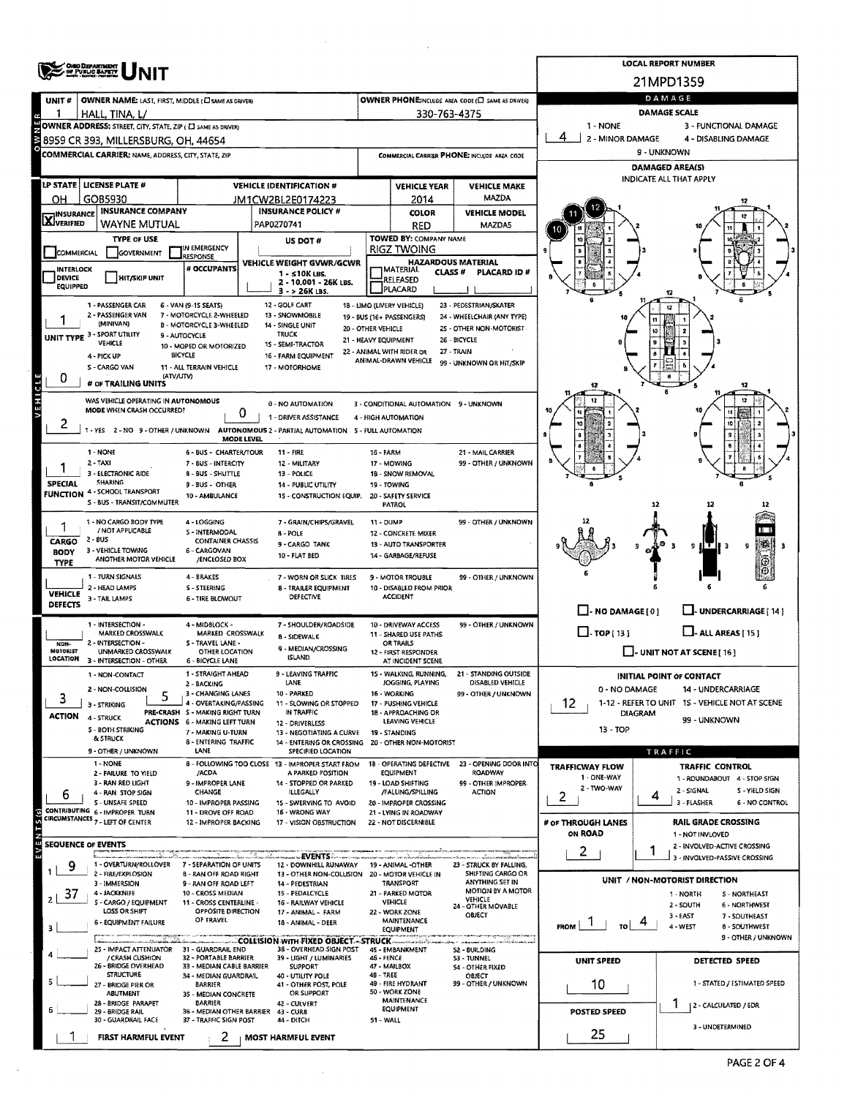|                                   | <b>ONO DEPARTMENT</b><br>OF PUBLIC BAFEIT                                                            |                                                           |                                                                                                               |                      |                                                         |                                                      |                                   | <b>LOCAL REPORT NUMBER</b>                                         |
|-----------------------------------|------------------------------------------------------------------------------------------------------|-----------------------------------------------------------|---------------------------------------------------------------------------------------------------------------|----------------------|---------------------------------------------------------|------------------------------------------------------|-----------------------------------|--------------------------------------------------------------------|
|                                   |                                                                                                      |                                                           |                                                                                                               |                      |                                                         |                                                      |                                   | 21MPD1359                                                          |
| UNIT#                             | OWNER NAME: LAST, FIRST, MIDDLE (E) SAME AS DRIVER)                                                  |                                                           |                                                                                                               |                      |                                                         | OWNER PHONE; INCLUDE AREA CODE (E) SAME AS DRIVER!   |                                   | DAMAGE                                                             |
|                                   | HALL, TINA, L/                                                                                       |                                                           |                                                                                                               |                      | 330-763-4375                                            |                                                      |                                   | <b>DAMAGE SCALE</b>                                                |
|                                   | OWNER ADDRESS: STREET, CITY, STATE, ZIP ( [ ] SAME AS DRIVER)<br>8959 CR 393, MILLERSBURG, OH, 44654 |                                                           |                                                                                                               |                      |                                                         |                                                      | 1 - NONE<br>4<br>2 - MINOR DAMAGE | 3 - FUNCTIONAL DAMAGE<br>4 - DISABLING DAMAGE                      |
|                                   | <b>COMMERCIAL CARRIER: NAME, ADDRESS, CITY, STATE, ZIP</b>                                           |                                                           |                                                                                                               |                      | COMMERCIAL CARRIER PHONE: INCLUDE AREA CODE             |                                                      |                                   | 9 - UNKNOWN                                                        |
|                                   |                                                                                                      |                                                           |                                                                                                               |                      |                                                         |                                                      |                                   | <b>DAMAGED AREA(S)</b>                                             |
| <b>LP STATE</b>                   | <b>LICENSE PLATE #</b>                                                                               |                                                           | <b>VEHICLE IDENTIFICATION #</b>                                                                               |                      | <b>VEHICLE YEAR</b>                                     | <b>VEHICLE MAKE</b>                                  |                                   | <b>INDICATE ALL THAT APPLY</b>                                     |
| ΟН                                | GOB5930<br><b>INSURANCE COMPANY</b>                                                                  |                                                           | JM1CW2BL2E0174223<br><b>INSURANCE POLICY #</b>                                                                |                      | 2014                                                    | <b>MAZDA</b>                                         |                                   |                                                                    |
| <b>X</b> <sup>INSURANCE</sup>     | WAYNE MUTUAL                                                                                         |                                                           | PAP0270741                                                                                                    |                      | <b>COLOR</b><br><b>RED</b>                              | <b>VEHICLE MODEL</b><br>MAZDA5                       |                                   |                                                                    |
|                                   | <b>TYPE OF USE</b>                                                                                   |                                                           | US DOT#                                                                                                       |                      | <b>TOWED BY: COMPANY NAME</b>                           |                                                      |                                   |                                                                    |
| COMMERCIAL                        | <b>GOVERNMENT</b>                                                                                    | IN EMERGENCY<br><b>LESPONSE</b>                           | VEHICLE WEIGHT GVWR/GCWR                                                                                      |                      | <b>RIGZ TWOING</b><br><b>HAZARDOUS MATERIAL</b>         |                                                      |                                   |                                                                    |
| <b>INTERLOCK</b><br><b>DEVICE</b> | HIT/SKIP UNIT                                                                                        | # OCCUPANTS                                               | $1 - 510K$ LBS.                                                                                               |                      | MATERIAL<br><b>CLASS #</b><br>RELEASED                  | PLACARD ID#                                          |                                   |                                                                    |
| <b>EQUIPPED</b>                   |                                                                                                      |                                                           | 2 - 10,001 - 26K LBS.<br>3 - > 26K LBS.                                                                       |                      | <b>PLACARD</b>                                          |                                                      |                                   |                                                                    |
|                                   | 1 - PASSENGER CAR<br>2 - PASSENGER VAN                                                               | 6 - VAN (9-1S SEATS)<br>7 - MOTORCYCLE 2-WHEELED          | 12 - GOLF CART<br>13 - SNOWMOBILE                                                                             |                      | 18 - LIMO (LIVERY VEHICLE)<br>19 - BUS (16+ PASSENGERS) | 23 - PEDESTRIAN/SKATER<br>24 - WHEELCHAIR (ANY TYPE) |                                   |                                                                    |
|                                   | (MINIVAN)                                                                                            | B - MOTORCYCLE 3-WHEELED                                  | 14 - SINGLE UNIT<br><b>TRUCK</b>                                                                              | 20 - OTHER VEHICLE   |                                                         | 25 - OTHER NON-MOTORIST                              |                                   |                                                                    |
|                                   | UNIT TYPE 3 - SPORT UTILITY<br><b>VEHICLE</b>                                                        | 9 - AUTOCYCLE<br>10 - MOPED OR MOTORIZED                  | 1S - SEMI-TRACTOR                                                                                             | 21 - HEAVY EQUIPMENT | 22 - ANIMAL WITH RIDER OR                               | 26 - BICYCLE<br>27 - TRAIN                           |                                   |                                                                    |
|                                   | 4 - PICK UP<br>S - CARGO VAN                                                                         | <b>BICYCLE</b><br>11 - ALL TERRAIN VEHICLE                | 16 - FARM EQUIPMENT<br>17 - MOTORHOME                                                                         |                      | ANIMAL-DRAWN VEHICLE                                    | 99 - UNKNOWN OR HIT/SKIP                             |                                   |                                                                    |
| 0                                 | (ATV/UTV)<br># OF TRAILING UNITS                                                                     |                                                           |                                                                                                               |                      |                                                         |                                                      | 42                                | 12                                                                 |
|                                   | WAS VEHICLE OPERATING IN AUTONOMOUS                                                                  |                                                           | 0 - NO AUTOMATION                                                                                             |                      | 3 - CONDITIONAL AUTOMATION 9 - UNKNOWN                  |                                                      |                                   | 12                                                                 |
|                                   | MODE WHEN CRASH OCCURRED?                                                                            |                                                           | 0<br>1 - DRIVER ASSISTANCE                                                                                    |                      | 4 - HIGH AUTOMATION                                     |                                                      |                                   |                                                                    |
| 2                                 |                                                                                                      |                                                           | 1 - YES 2 - NO 9 - OTHER / UNKNOWN AUTONOMOUS 2 - PARTIAL AUTOMATION 5 - FULL AUTOMATION<br><b>MODE LEVEL</b> |                      |                                                         |                                                      |                                   |                                                                    |
|                                   | 1 - NONE                                                                                             | 6 - BUS - CHARTER/TOUR                                    | <b>11 - FIRE</b>                                                                                              | 16 FARM              |                                                         | 21 - MAIL CARRIER                                    |                                   |                                                                    |
|                                   | $2 - TAXI$<br>3 - ELECTRONIC RIDE                                                                    | 7 - BUS - INTERCITY<br>8 - BUS - SHUTTLE                  | 12 - MILITARY<br>13 - POLICE                                                                                  |                      | 17 - MOWING<br>18 - SNOW REMOVAL                        | 99 - OTHER / UNKNOWN                                 |                                   |                                                                    |
| <b>SPECIAL</b>                    | <b>SHARING</b>                                                                                       | 9 - BUS - OTHER                                           | 14 - PUBLIC UTILITY                                                                                           |                      | 19 - TOWING                                             |                                                      |                                   |                                                                    |
|                                   | <b>FUNCTION 4 - SCHOOL TRANSPORT</b><br>S - BUS - TRANSIT/COMMUTER                                   | 10 - AMBULANCE                                            | 15 - CONSTRUCTION EQUIP.                                                                                      |                      | 20 - SAFETY SERVICE<br>PATROL                           |                                                      |                                   | 12<br>12                                                           |
|                                   | 1 - NO CARGO BODY TYPE                                                                               | 4 - LOGGING                                               | 7 - GRAIN/CHIPS/GRAVEL                                                                                        | 11 - DUMP            |                                                         | 99 - OTHER / UNKNOWN                                 |                                   |                                                                    |
| CARGO                             | / NOT APPLICABLE<br>2 - BUS                                                                          | 5 - INTERMODAL<br><b>CONTAINER CHASSIS</b>                | 8 - POLE                                                                                                      |                      | 12 - CONCRETE MIXER                                     |                                                      |                                   |                                                                    |
| <b>BODY</b>                       | 3 - VEHICLE TOWING<br>ANOTHER MOTOR VEHICLE                                                          | 6 - CARGOVAN<br>/ENCLOSED BOX                             | 9 - CARGO TANK<br>10 - FLAT BED                                                                               |                      | 13 - AUTO TRANSPORTER<br>14 - GARBAGE/REFUSE            |                                                      |                                   | 9 ∐ F<br>9<br>Ġ                                                    |
| <b>TYPE</b>                       | 1 - TURN SIGNALS                                                                                     | 4 - BRAKES                                                | 7 - WORN OR SLICK TIRES                                                                                       |                      | 9 - MOTOR TROUBLE                                       | 99 - OTHER / UNKNOWN                                 |                                   |                                                                    |
| <b>VEHICLE</b>                    | 2 - HEAD LAMPS                                                                                       | S - STEERING                                              | <b>8 - TRAILER EQUIPMENT</b>                                                                                  |                      | 10 - DISABLED FROM PRIOR<br><b>ACCIDENT</b>             |                                                      |                                   |                                                                    |
| <b>DEFECTS</b>                    | 3 - TAIL LAMPS                                                                                       | <b>6 - TIRE BLOWOUT</b>                                   | DEFECTIVE                                                                                                     |                      |                                                         |                                                      | $\Box$ - NO DAMAGE [ 0 ]          | L. UNDERCARRIAGE [ 14 ]                                            |
|                                   | 1 - INTERSECTION -                                                                                   | 4 - MIDBLOCK -                                            | 7 - SHOULDER/ROADSIDE                                                                                         |                      | 10 - DRIVEWAY ACCESS                                    | 99 - OTHER / UNKNOWN                                 | $\Box$ . TOP [ 13 ]               | $\Box$ - ALL AREAS [ 15 ]                                          |
| NDN-                              | MARKED CROSSWALK<br>2 - INTERSECTION -                                                               | MARKED CROSSWALK<br>S - TRAVEL LANE -                     | 8 - SIDEWALK<br>9 - MEDIAN/CROSSING                                                                           |                      | <b>11 - SHARED USE PATHS</b><br>OR TRAILS               |                                                      |                                   |                                                                    |
| MOTORIST                          | UNMARKED CROSSWALK<br>LOCATION 3 - INTERSECTION - OTHER                                              | OTHER LOCATION<br>6 - BICYCLE LANE                        | <b>ISLAND</b>                                                                                                 |                      | 12 - FIRST RESPONDER<br>AT INCIDENT SCENE               |                                                      |                                   | $\Box$ - UNIT NOT AT SCENE [ 16 ]                                  |
|                                   | 1 - NON-CONTACT                                                                                      | 1 - STRAIGHT AHEAD<br>2 - BACKING                         | 9 - LEAVING TRAFFIC<br>LANE                                                                                   |                      | 15 - WALKING, RUNNING,<br>JOGGING, PLAYING              | - STANDING OUTSIDE<br>-21<br>DISABLED VEHICLE        |                                   | <b>INITIAL POINT OF CONTACT</b>                                    |
| 3                                 | 2 - NON-COLLISION                                                                                    | 3 - CHANGING LANES                                        | 10 - PARKED                                                                                                   |                      | 16 - WORKING                                            | 99 - OTHER / UNKNOWN                                 | 0 - NO DAMAGE                     | 14 - UNDERCARRIAGE                                                 |
| <b>ACTION</b>                     | 3 - STRIKING<br>4 - STRUCK                                                                           | 4 - OVERTAKING/PASSING<br>PRE-CRASH S - MAKING RIGHT TURN | 11 - SLOWING OR STOPPED<br>IN TRAFFIC                                                                         |                      | 17 - PUSHING VEHICLE<br>18 - APPROACHING OR             |                                                      | 12                                | 1-12 - REFER TO UNIT 1S - VEHICLE NOT AT SCENE<br><b>DIAGRAM</b>   |
|                                   | 5 - BOTH STRIKING                                                                                    | <b>ACTIONS 6 - MAKING LEFT TURN</b><br>7 - MAKING U-TURN  | 12 - DRIVERLESS<br>13 - NEGOTIATING A CURVE                                                                   |                      | <b>LEAVING VEHICLE</b><br>19 - STANDING                 |                                                      | $13 - TOP$                        | 99 - UNKNOWN                                                       |
|                                   | <b>&amp; STRUCK</b><br>9 - OTHER / UNKNOWN                                                           | 8 - ENTERING TRAFFIC<br>LANE                              | 14 - ENTERING OR CROSSING 20 - OTHER NON-MOTORIST<br>SPECIFIED LOCATION                                       |                      |                                                         |                                                      |                                   | TRAFFIC                                                            |
|                                   | 1 - NONE                                                                                             |                                                           | 8 - FOLLOWING TOO CLOSE 13 - IMPROPER START FROM                                                              |                      | 18 - OPERATING DEFECTIVE                                | 23 - OPENING DOOR INTO                               | <b>TRAFFICWAY FLOW</b>            | <b>TRAFFIC CONTROL</b>                                             |
|                                   | 2 - FAILURE TO YIELD<br>3 - RAN RED LIGHT                                                            | /ACDA<br>9 - IMPROPER LANE                                | A PARKED POSITION<br>14 - STOPPED OR PARKED                                                                   |                      | <b>EQUIPMENT</b><br>19 - LOAD SHIFTING                  | ROADWAY<br>99 - OTHER IMPROPER.                      | 1 - ONE-WAY<br>2 - TWO-WAY        | 1 - ROUNDABOUT 4 - STOP SIGN                                       |
| 6                                 | 4 - RAN STOP SIGN<br><b>S - UNSAFE SPEED</b>                                                         | CHANGE<br>10 - IMPROPER PASSING                           | <b>ILLEGALLY</b><br>15 - SWERVING TO AVOID                                                                    |                      | /FALLING/SPILLING<br>20 - IMPROPER CROSSING             | <b>ACTION</b>                                        | 2                                 | 2 - SIGNAL<br>S - YIELD SIGN<br>4<br>3 - FLASHER<br>6 - NO CONTROL |
|                                   | CONTRIBUTING 6 - IMPROPER TURN<br>CIRCUMSTANCES 7 - LEFT OF CENTER                                   | 11 - DROVE OFF ROAD<br>12 - IMPROPER BACKING              | 16 - WRONG WAY<br>17 - VISION OBSTRUCTION                                                                     |                      | 21 - LYING IN ROADWAY<br>22 - NOT DISCERNIBLE           |                                                      | # or THROUGH LANES                | <b>RAIL GRADE CROSSING</b>                                         |
|                                   |                                                                                                      |                                                           |                                                                                                               |                      |                                                         |                                                      | ON ROAD                           | 1 - NOT INVLOVED                                                   |
| ñΆ                                | <b>SEQUENCE OF EVENTS</b>                                                                            |                                                           | …EVENTS ……                                                                                                    |                      |                                                         |                                                      | 2                                 | 2 - INVOLVED-ACTIVE CROSSING<br>1<br>3 - INVOLVED-PASSIVE CROSSING |
| 9                                 | 1 - OVERTURN/ROLLOVER<br>2 - FIRE/EXPLOSION                                                          | 7 - SEPARATION OF UNITS<br>8 - RAN OFF ROAD RIGHT         | 12 - DOWNHILL RUNAWAY<br>13 - OTHER NON-COLLISION 20 - MOTOR VEHICLE IN                                       |                      | 19 - ANIMAL -OTHER                                      | 23 - STRUCK BY FALLING.<br>SHIFTING CARGO OR         |                                   |                                                                    |
|                                   | 3 - IMMERSION<br>4 - JACKKNIFE                                                                       | 9 - RAN OFF ROAD LEFT<br>10 - CROSS MEDIAN                | 14 - PEDESTRIAN<br>15 - PEDALCYCLE                                                                            |                      | TRANSPORT<br>21 - PARKED MOTOR                          | ANYTHING SET IN<br>MOTION BY A MOTOR                 |                                   | UNIT / NON-MOTORIST DIRECTION                                      |
| 37<br>2                           | 5 - CARGO / EQUIPMENT                                                                                | 11 - CROSS CENTERLINE -                                   | 16 - RAILWAY VEHICLE                                                                                          |                      | VEHICLE                                                 | <b>VEHICLE</b><br>24 - OTHER MOVABLE                 |                                   | 1 - NORTH<br>5 - NORTHEAST<br>2 - SOUTH<br>6 - NORTHWEST           |
|                                   | LOSS OR SHIFT<br>6 - EQUIPMENT FAILURE                                                               | OPPOSITE DIRECTION<br>OF TRAVEL                           | 17 - ANIMAL - FARM<br>18 - ANIMAL - DEER                                                                      |                      | 22 - WORK ZONE<br>MAINTENANCE                           | OBJECT                                               | <b>FROM</b><br>TO I               | $3 - EAST$<br>7 - SOUTHEAST<br>4<br>4 - WEST<br>8 - SOUTHWEST      |
| з                                 | um dikaraja                                                                                          |                                                           | COLLISION WITH FIXED OBJECT - STRUCK                                                                          |                      | <b>EQUIPMENT</b><br>ranakhal ka                         | <u>under Kauerstätte des Erlander</u> s              |                                   | 9 - OTHER / UNKNOWN                                                |
|                                   | 25 - IMPACT ATTENUATOR 31 - GUARDRAIL END<br>/ CRASH CUSHION                                         | 32 - PORTABLE BARRIER                                     | 38 - OVERHEAD SIGN POST<br>39 - LIGHT / LUMINARIES                                                            | <b>46 - FENCE</b>    | 45 - EMBANKMENT                                         | <b>S2 - BUILDING</b><br>53 - TUNNEL                  | UNIT SPEED                        | DETECTED SPEED                                                     |
|                                   | 26 - BRIDGE OVERHEAD<br><b>STRUCTURE</b>                                                             | 33 - MEDIAN CABLE BARRIER<br>34 - MEDIAN GUARDRAIL        | <b>SUPPORT</b><br>40 - UTILITY POLE                                                                           | <b>48 - TREE</b>     | 47 - MAILBOX                                            | 54 - OTHER FIXED<br>OBJECT                           |                                   |                                                                    |
|                                   | 27 - BRIDGE PIER OR<br><b>ABUTMENT</b>                                                               | <b>BARRIER</b><br>35 - MEDIAN CONCRETE                    | 41 - OTHER POST, POLE<br>OR SUPPORT                                                                           |                      | 49 - FIRE HYDRANT<br>50 - WORK ZONE                     | 99 - OTHER / UNKNOWN                                 | 10                                | 1 - STATED / ESTIMATED SPEED                                       |
|                                   | 28 - BRIDGE PARAPET<br>29 - BRIDGE RAIL                                                              | BARRIER<br>36 - MEDIAN OTHER BARRIER                      | 42 - CULVERT<br>43 - CURS                                                                                     |                      | MAINTENANCE<br>EQUIPMENT                                |                                                      | POSTED SPEED                      | 2 - CALCULATED / EDR                                               |
|                                   | 30 - GUARDRAIL FACE                                                                                  | 37 - TRAFFIC SIGN POST                                    | 44 - DITCH                                                                                                    | 51 - WALL            |                                                         |                                                      |                                   | 3 - UNDETERMINED                                                   |
|                                   | FIRST HARMFUL EVENT                                                                                  | 2                                                         | <b>MOST HARMFUL EVENT</b>                                                                                     |                      |                                                         |                                                      | 25                                |                                                                    |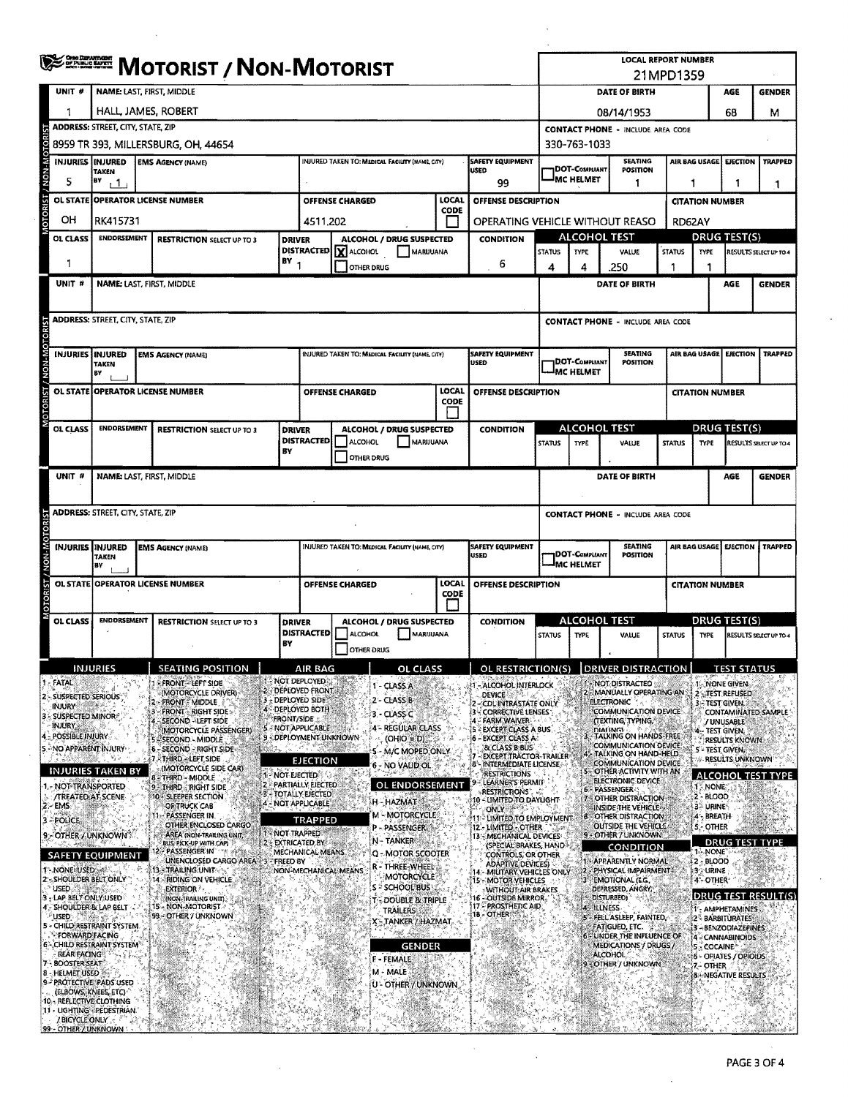|                                                   | <b>SEERER MOTORIST / NON-MOTORIST</b>                                                                                                                                                                                                                                                           |                                                               |                                                         |                                               |                                                 |                                       | <b>LOCAL REPORT NUMBER</b> |                                                                         |                  |                      |                                                       |                    |                                           |                                                            |                           |
|---------------------------------------------------|-------------------------------------------------------------------------------------------------------------------------------------------------------------------------------------------------------------------------------------------------------------------------------------------------|---------------------------------------------------------------|---------------------------------------------------------|-----------------------------------------------|-------------------------------------------------|---------------------------------------|----------------------------|-------------------------------------------------------------------------|------------------|----------------------|-------------------------------------------------------|--------------------|-------------------------------------------|------------------------------------------------------------|---------------------------|
| <b>UNIT#</b>                                      | <b>NAME: LAST, FIRST, MIDDLE</b>                                                                                                                                                                                                                                                                |                                                               |                                                         |                                               |                                                 |                                       |                            | 21MPD1359<br>DATE OF BIRTH<br><b>GENDER</b><br>AGE                      |                  |                      |                                                       |                    |                                           |                                                            |                           |
| 1                                                 | HALL, JAMES, ROBERT                                                                                                                                                                                                                                                                             |                                                               |                                                         |                                               |                                                 |                                       |                            |                                                                         | 68<br>08/14/1953 |                      |                                                       |                    |                                           |                                                            |                           |
|                                                   |                                                                                                                                                                                                                                                                                                 | <b>ADDRESS: STREET, CITY, STATE, ZIP</b>                      |                                                         |                                               |                                                 |                                       |                            |                                                                         |                  |                      | <b>CONTACT PHONE - INCLUDE AREA CODE</b>              |                    |                                           |                                                            | м                         |
|                                                   |                                                                                                                                                                                                                                                                                                 | 8959 TR 393, MILLERSBURG, OH, 44654                           |                                                         |                                               |                                                 |                                       |                            |                                                                         |                  | 330-763-1033         |                                                       |                    |                                           |                                                            |                           |
| <b>INJURIES INJURED</b>                           |                                                                                                                                                                                                                                                                                                 | <b>EMS AGENCY (NAME)</b>                                      |                                                         |                                               | INJURED TAKEN TO: MEDICAL FACILITY (NAME, CITY) |                                       |                            | <b>SAFETY EQUIPMENT</b><br>USED                                         |                  | DOT-Compliant        | <b>SEATING</b><br><b>POSITION</b>                     |                    | AIR BAG USAGE                             | <b>EJECTION</b>                                            | <b>TRAPPED</b>            |
| 5                                                 | TAKEN<br>BY<br>ا 1ء                                                                                                                                                                                                                                                                             |                                                               |                                                         |                                               |                                                 |                                       |                            | 99                                                                      |                  | <b>IMC HELMET</b>    | 1                                                     | 1                  |                                           | 1                                                          | 1                         |
|                                                   |                                                                                                                                                                                                                                                                                                 | OL STATE OPERATOR LICENSE NUMBER                              |                                                         |                                               | OFFENSE CHARGED                                 |                                       | LOCAL                      | OFFENSE DESCRIPTION                                                     |                  |                      |                                                       |                    | <b>CITATION NUMBER</b>                    |                                                            |                           |
| OH                                                | RK415731                                                                                                                                                                                                                                                                                        |                                                               |                                                         | 4511.202                                      |                                                 |                                       | CODE                       | OPERATING VEHICLE WITHOUT REASO                                         |                  |                      |                                                       | RD62AY             |                                           |                                                            |                           |
| <b>OL CLASS</b>                                   | <b>ENDORSEMENT</b>                                                                                                                                                                                                                                                                              | <b>RESTRICTION SELECT UP TO 3</b>                             | <b>DRIVER</b>                                           |                                               | ALCOHOL / DRUG SUSPECTED                        |                                       |                            | <b>CONDITION</b>                                                        |                  | <b>ALCOHOL TEST</b>  |                                                       |                    |                                           | <b>DRUG TEST(S)</b>                                        |                           |
| 1                                                 |                                                                                                                                                                                                                                                                                                 |                                                               | BY                                                      | <b>DISTRACTED</b>                             | X ALCOHOL                                       | MARUUANA                              |                            | 6                                                                       | <b>STATUS</b>    | <b>TYPE</b><br>4     | VALUE<br>.250                                         | <b>STATUS</b><br>1 | <b>TYPE</b>                               |                                                            | RESULTS SELECT UP TO 4    |
| UNIT #                                            |                                                                                                                                                                                                                                                                                                 | NAME: LAST, FIRST, MIDDLE                                     |                                                         |                                               | <b>OTHER DRUG</b>                               |                                       |                            |                                                                         | 4                |                      | DATE OF BIRTH                                         |                    | 1                                         | AGE                                                        | <b>GENDER</b>             |
|                                                   |                                                                                                                                                                                                                                                                                                 |                                                               |                                                         |                                               |                                                 |                                       |                            |                                                                         |                  |                      |                                                       |                    |                                           |                                                            |                           |
|                                                   |                                                                                                                                                                                                                                                                                                 | <b>ADDRESS: STREET, CITY, STATE, ZIP</b>                      |                                                         |                                               |                                                 |                                       |                            |                                                                         |                  |                      | <b>CONTACT PHONE - INCLUDE AREA CODE</b>              |                    |                                           |                                                            |                           |
|                                                   |                                                                                                                                                                                                                                                                                                 |                                                               |                                                         |                                               |                                                 |                                       |                            |                                                                         |                  |                      |                                                       |                    |                                           |                                                            |                           |
| <b>INJURIES INJURED</b>                           |                                                                                                                                                                                                                                                                                                 | <b>EMS AGENCY (NAME)</b>                                      |                                                         |                                               | INJURED TAKEN TO: MEDICAL FACILITY (NAME, CITY) |                                       |                            | <b>SAFETY EQUIPMENT</b><br>USED                                         |                  | <b>DOT-COMPLIANT</b> | <b>SEATING</b><br>POSITION                            |                    | AIR BAG USAGE                             | <b>EJECTION</b>                                            | <b>TRAPPED</b>            |
|                                                   | <b>TAKEN</b><br>BY                                                                                                                                                                                                                                                                              |                                                               |                                                         |                                               |                                                 |                                       |                            |                                                                         |                  | <b>MC HELMET</b>     |                                                       |                    |                                           |                                                            |                           |
|                                                   |                                                                                                                                                                                                                                                                                                 | OL STATE OPERATOR LICENSE NUMBER                              |                                                         |                                               | OFFENSE CHARGED                                 |                                       | LOCAL<br>CODE              | OFFENSE DESCRIPTION                                                     |                  |                      |                                                       |                    | <b>CITATION NUMBER</b>                    |                                                            |                           |
|                                                   |                                                                                                                                                                                                                                                                                                 |                                                               |                                                         |                                               |                                                 |                                       |                            |                                                                         |                  |                      |                                                       |                    |                                           |                                                            |                           |
| OL CLASS                                          | <b>ENDORSEMENT</b>                                                                                                                                                                                                                                                                              | <b>RESTRICTION SELECT UP TO 3</b>                             | <b>DRIVER</b>                                           |                                               | ALCOHOL / DRUG SUSPECTED                        |                                       |                            | <b>CONDITION</b>                                                        |                  | ALCOHOL TEST         |                                                       |                    |                                           | <b>DRUG TEST(S)</b>                                        |                           |
|                                                   |                                                                                                                                                                                                                                                                                                 |                                                               | BY                                                      | <b>DISTRACTED</b>                             | ALCOHOL<br><b>OTHER DRUG</b>                    | MARUUANA                              |                            |                                                                         | <b>STATUS</b>    | <b>TYPE</b>          | <b>VALUE</b>                                          | <b>STATUS</b>      | <b>TYPE</b>                               |                                                            | RESULTS SELECT UP TO 4    |
| UNIT <sub>#</sub>                                 |                                                                                                                                                                                                                                                                                                 | NAME: LAST, FIRST, MIDDLE                                     |                                                         |                                               |                                                 |                                       |                            |                                                                         |                  |                      | <b>DATE OF BIRTH</b>                                  |                    |                                           | AGE                                                        | <b>GENDER</b>             |
|                                                   |                                                                                                                                                                                                                                                                                                 |                                                               |                                                         |                                               |                                                 |                                       |                            |                                                                         |                  |                      |                                                       |                    |                                           |                                                            |                           |
|                                                   |                                                                                                                                                                                                                                                                                                 | <b>ADDRESS: STREET, CITY, STATE, ZIP</b>                      |                                                         |                                               |                                                 |                                       |                            |                                                                         |                  |                      | <b>CONTACT PHONE - INCLUDE AREA CODE</b>              |                    |                                           |                                                            |                           |
|                                                   |                                                                                                                                                                                                                                                                                                 |                                                               |                                                         |                                               |                                                 |                                       |                            |                                                                         |                  |                      |                                                       |                    |                                           |                                                            |                           |
| NON-M<br>INJURIES INJURED                         | <b>TAKEN</b>                                                                                                                                                                                                                                                                                    | <b>EMS AGENCY (NAME)</b>                                      |                                                         |                                               | INJURED TAKEN TO: MEDICAL FACILITY (NAME, CITY) |                                       |                            | <b>SAFETY EQUIPMENT</b><br>USED                                         |                  | DOT-COMPLIANT        | <b>SEATING</b><br><b>POSITION</b>                     |                    | AIR BAG USAGE                             |                                                            | <b>EJECTION   TRAPPED</b> |
|                                                   | BY                                                                                                                                                                                                                                                                                              |                                                               |                                                         |                                               |                                                 |                                       |                            |                                                                         |                  | <b>JMC HELMET</b>    |                                                       |                    |                                           |                                                            |                           |
|                                                   |                                                                                                                                                                                                                                                                                                 | OL STATE OPERATOR LICENSE NUMBER                              |                                                         |                                               | OFFENSE CHARGED                                 |                                       | LOCAL<br>CODE              | OFFENSE DESCRIPTION                                                     |                  |                      |                                                       |                    | <b>CITATION NUMBER</b>                    |                                                            |                           |
|                                                   | <b>ENDORSEMENT</b>                                                                                                                                                                                                                                                                              |                                                               |                                                         |                                               |                                                 |                                       |                            |                                                                         |                  | <b>ALCOHOL TEST</b>  |                                                       |                    |                                           | <b>DRUG TEST(S)</b>                                        |                           |
| OL CLASS                                          |                                                                                                                                                                                                                                                                                                 | <b>RESTRICTION SELECT UP TO 3</b>                             | <b>DRIVER</b>                                           | <b>DISTRACTED</b>                             | ALCOHOL / DRUG SUSPECTED<br>ALCOHOL             | MARIJUANA                             |                            | <b>CONDITION</b>                                                        | <b>STATUS</b>    | <b>TYPE</b>          | VALUE                                                 | <b>STATUS</b>      | <b>TYPE</b>                               |                                                            | RESULTS SELECT UP TO 4    |
|                                                   |                                                                                                                                                                                                                                                                                                 |                                                               | BY                                                      |                                               | <b>OTHER DRUG</b>                               |                                       |                            |                                                                         |                  |                      |                                                       |                    |                                           |                                                            |                           |
|                                                   | INIHPIES                                                                                                                                                                                                                                                                                        | SEATING POSITION                                              |                                                         | AIR RAG                                       |                                                 | OL CLASS                              |                            | OL RESTRICTION(S)   DRIVER DISTRACTION                                  |                  |                      |                                                       |                    |                                           | <b>TEST STATUS</b>                                         |                           |
| FATAL<br>SUSPECTED SERIOUS                        |                                                                                                                                                                                                                                                                                                 | <b>FRONT - LEFT SIDE</b><br>(MOTORCYCLE DRIVER)               | 1 - NOT DEPLOYED<br>2 DEPLOYED FRONT                    |                                               |                                                 | 1 - CLASS A                           |                            | - ALCOHOL INTERLOCK<br><b>DEVICE</b>                                    |                  |                      | - NOT DISTRACTED<br>2 MANUALLY OPERATING AN           |                    |                                           | NONE GIVEN<br><b>TEST REFUSED</b>                          |                           |
| injury<br>- SUSPECTED MINOR                       |                                                                                                                                                                                                                                                                                                 | <b>FRONT - MIDDLE</b><br><b>FRONT - RIGHT SIDE:</b>           | 3 - DEPLOYED SIDE<br><b>4<sup>2</sup> DEPLOYED BOTH</b> |                                               |                                                 | 2 - CLASS B<br>3. - CLASS C           |                            | 2 - CDL INTRASTATE ONLY<br>3 - CORRECTIVE LENSES                        |                  |                      | <b>ELECTRONIC</b><br>COMMUNICATION DEVICE             |                    | 3 - TEST GIVEN,                           |                                                            | CONTAMINATED SAMPLE       |
| <b>INJURY</b><br><b>POSSIBLE INJURY</b>           |                                                                                                                                                                                                                                                                                                 | <b>SECOND - LEFT SIDE</b><br>(MOTORCYCLE PASSENGER)           | <b>FRONT/SIDE</b>                                       | <b>NOT APPLICABLE</b>                         |                                                 | 4 - REGULAR CLASS                     |                            | 4 - FARM WAIVER<br><b>SEXCEPT CLASS A BUS</b>                           |                  | <b>DIAFINGY</b>      | (TEXTING, TYPING,<br>TALKING ON HANDS-FREE            |                    | 4 - TEST GIVEN,                           | / UNUSABLE                                                 |                           |
| 5. NO APPARENT INJURY                             |                                                                                                                                                                                                                                                                                                 | SECOND - MIDDLE<br>6 - SECOND - RIGHT SIDE-                   | 9 - DEPLOYMENT UNKNOWN                                  |                                               |                                                 | $(OHIO = D)$<br>5 - M/C MOPED, ONLY   |                            | 6 - EXCEPT CLASS A<br>& CLASS B BUS                                     |                  |                      | <b>COMMUNICATION DEVICE</b><br>- TALKING ON HAND-HELD |                    | <b>5 - TEST GIVEN.</b>                    | <b>RESULTS KNOWN</b>                                       |                           |
| INJURIES TAKEN BY                                 |                                                                                                                                                                                                                                                                                                 | <b>ATHIRD - LEFT SIDE</b><br>(MOTORCYCLE SIDE CAR)            | 1 - NOT EJECTED                                         | <b>EJECTION</b>                               |                                                 | 6 - NO VALID OL S                     |                            | EXCEPT TRACTOR-TRAILER<br>8-INTERMEDIATE LICENSE<br><b>RESTRICTIONS</b> |                  |                      | COMMUNICATION DEVICE<br>5 - OTHER ACTIVITY WITH AN    |                    |                                           | <b>A RESULTS UNKNOWN</b>                                   |                           |
| 1.- NOT-TRANSPORTED                               |                                                                                                                                                                                                                                                                                                 | THIRD - MIDDLE<br>9 - THIRD - RIGHT SIDE                      |                                                         | <b>PARTIALLY EJECTED</b><br>- TOTALLY EJECTED |                                                 | <b>OL ENDORSEMENT</b>                 |                            | 9 - Learner's Permit<br>RESTRICTIONS".                                  |                  |                      | ELECTRONIC DEVICE<br>6 PASSENGER                      |                    | 1: NONE                                   |                                                            | <b>ALCOHOL TEST TYPE</b>  |
| <b>/TREATED AT SCENE</b><br>∤EMS                  |                                                                                                                                                                                                                                                                                                 | 10 - SLEEPER SECTION<br>OF TRUCK CAB                          | <b>4 - NOT APPLICABLE</b>                               |                                               |                                                 | H - HAZMAT                            |                            | 10 - UMITED TO DAYLIGHT<br>ONLY.                                        |                  |                      | 7 - OTHER DISTRACTION<br>INSIDE THE VEHICLE           |                    | $2 - BLOOD$<br><b>3-URINE</b>             |                                                            |                           |
| POLICE                                            |                                                                                                                                                                                                                                                                                                 | PASSENGER IN<br>OTHER ENCLOSED CARGO                          |                                                         | <b>TRAPPED</b>                                |                                                 | M - MOTORCYCLE<br>P - PASSENGER:      |                            | <b>IT-LIMITED TO EMPLOYMENT</b><br>12 - LIMITED - OTHER                 |                  |                      | <b>8 - OTHER DISTRACTION:</b><br>OUTSIDE THE VEHICLE  |                    | 4 - BREATH<br><b>S-OTHER</b>              |                                                            |                           |
|                                                   | IT - NOT TRAPPED<br>AREA (NON-TRAILING UNIT)<br>9 - OTHER / UNKNOWN<br>9 - OTHER / UNKNOWN?<br>13: MECHANICAL DEVICES<br>N-TANKER<br>BUS, PICK-UP WITH CAP)<br>2 - EXTRICATED BY<br><b>DRUG TEST TYPE</b><br>(SPECIAL BRAKES, HAND)<br>CONDITION<br><b>PASSENGER IN THE</b><br>MECHANICAL MEANS |                                                               |                                                         |                                               |                                                 |                                       |                            |                                                                         |                  |                      |                                                       |                    |                                           |                                                            |                           |
| <b>SAFETY EQUIPMENT</b><br><b>T-NONE USED A</b>   |                                                                                                                                                                                                                                                                                                 | UNENCLOSED CARGO AREA 2-3 - FREED BY<br>-TRAILING UNIT<br>13. |                                                         |                                               |                                                 | Q - MOTOR SCOOTER<br>R - THREE-WHEEL  |                            | CONTROLS, OR OTHER<br><b>ADAPTIVE DEVICES)</b>                          |                  |                      | 1 - APPARENTLY NORMAL<br>2. PHYSICAL IMPAIRMENT?      |                    | 1 - NONE<br>2 - BLOOD<br><b>135 URINE</b> |                                                            |                           |
| 2: SHOULDER BELT ONLY<br>USED                     |                                                                                                                                                                                                                                                                                                 | 14 - RIDING ON VEHICLE                                        |                                                         |                                               | NON-MECHANICAL MEANS                            | MOTORCYCLE                            |                            | 4 - MILITARY VEHICLES ONLY<br>15 - MOTOR VEHICLES                       |                  |                      | 3 - EMOTIONAL (E.G.,<br>DEPRESSED, ANGRY              |                    | 4 - OTHER                                 |                                                            |                           |
| 4 - SHOULDER & LAP BELT                           | S <sup>5</sup> SCHOOL BUS<br><b>EXTERIOR</b><br><b>WITHOUT AIR BRAKES</b><br>3 - LAP BELT ONLY USED<br>(NON-TRAILING UNIT)<br>- DOUBLE & TRIPLE<br>15 - NON-MOTORIST                                                                                                                            |                                                               |                                                         |                                               |                                                 |                                       |                            | 16 - OUTSIDE MIRROR-<br>17 - PROSTHETIC AID.                            |                  | 4-ILLNESS            | <b>DISTURBED)</b>                                     |                    | <b>DRUG TEST</b>                          |                                                            | <b>RESULTIS</b>           |
| <b>PUSED</b><br>5 - CHILD RESTRAINT SYSTEM        |                                                                                                                                                                                                                                                                                                 | 99 - OTHER / UNKNOWN                                          |                                                         |                                               |                                                 | <b>TRAILERS</b><br>- TANKER / HAZMAT, |                            | 18 - OTHER                                                              |                  |                      | 5 - FELL ASLEEP, FAINTED,<br>FATIGUED, ETC.           |                    |                                           | 1- AMPHETAMINES<br>2 - BARBITURATES<br>3 - BENZODIAZEPINES |                           |
| <b>FORWARD FACING</b><br>6 CHILD RESTRAINT SYSTEM |                                                                                                                                                                                                                                                                                                 |                                                               |                                                         |                                               |                                                 |                                       |                            |                                                                         |                  |                      | UNDER THE INFLUENCE OF<br>MEDICATIONS / DRUGS /       |                    |                                           | 4 - CANNABINOIDS                                           |                           |
| <b>REAR FACING</b><br>7 - BOOSTER SEAT            |                                                                                                                                                                                                                                                                                                 |                                                               |                                                         |                                               |                                                 | <b>GENDER</b><br>F - FEMALE           |                            |                                                                         |                  | <b>ALCOHOL</b>       | - OTHER / UNKNOWN                                     |                    | 5 - COCAINE <sup>®</sup>                  | 6 - OPIATES / OPIOIDS                                      |                           |
| 8 - HELMET USED 2<br>9- PROTECTIVE PADS USED      |                                                                                                                                                                                                                                                                                                 |                                                               |                                                         |                                               | M - MALE                                        |                                       |                            |                                                                         |                  |                      |                                                       |                    | 7. - OTHER                                | <b>8 - NEGATIVE RESULTS</b>                                |                           |
| (ELBOWS, KNEES, ETC)<br>10 - REFLECTIVE CLOTHING  |                                                                                                                                                                                                                                                                                                 |                                                               |                                                         |                                               |                                                 | U - OTHER / UNKNOWN                   |                            |                                                                         |                  |                      |                                                       |                    |                                           |                                                            |                           |
| 11 - LIGHTING - PEDESTRIAN.<br>/ BICYCLE ONLY     |                                                                                                                                                                                                                                                                                                 |                                                               |                                                         |                                               |                                                 |                                       |                            |                                                                         |                  |                      |                                                       |                    |                                           |                                                            |                           |
| 99 - OTHER / UNKNOWN                              |                                                                                                                                                                                                                                                                                                 |                                                               |                                                         |                                               |                                                 |                                       |                            |                                                                         |                  |                      |                                                       |                    |                                           |                                                            |                           |

 $\mathcal{L}_{\mathcal{A}}$ 

 $\bar{\mathcal{A}}$ 

l,

 $\overline{\phantom{a}}$ 

 $\ddot{\phantom{a}}$ 

 $\bar{a}$ 

 $\sim 1$ 

Ļ,

 $\ddot{\phantom{0}}$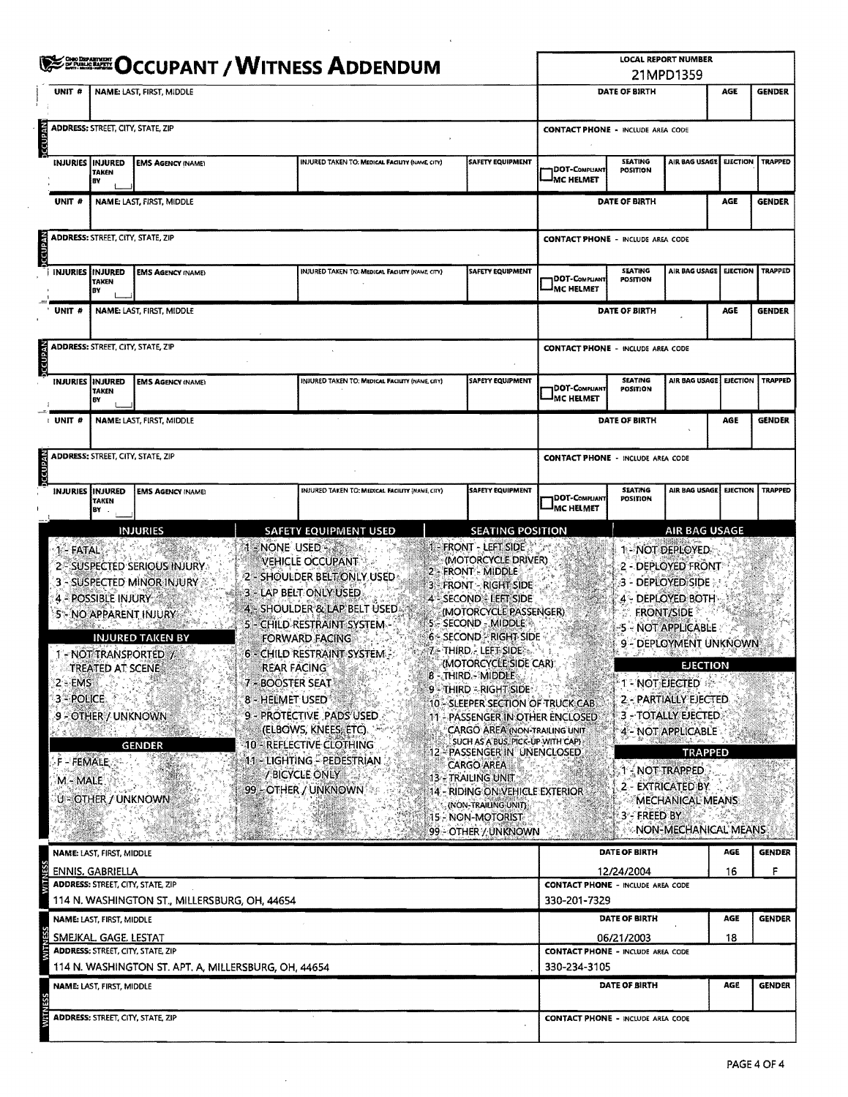| <b>SERETH OCCUPANT / WITNESS ADDENDUM</b>                                  |                                                                                                                                                                                                                                                                                                           |                               |                                                                              |                                                  | <b>LOCAL REPORT NUMBER</b><br>21MPD1359                                                                         |                                                              |                                                                                                                        |                                                                                          |                                   |                                                                                 |                          |                |
|----------------------------------------------------------------------------|-----------------------------------------------------------------------------------------------------------------------------------------------------------------------------------------------------------------------------------------------------------------------------------------------------------|-------------------------------|------------------------------------------------------------------------------|--------------------------------------------------|-----------------------------------------------------------------------------------------------------------------|--------------------------------------------------------------|------------------------------------------------------------------------------------------------------------------------|------------------------------------------------------------------------------------------|-----------------------------------|---------------------------------------------------------------------------------|--------------------------|----------------|
| UNIT <sup>#</sup><br><b>NAME: LAST, FIRST, MIDDLE</b>                      |                                                                                                                                                                                                                                                                                                           |                               |                                                                              |                                                  |                                                                                                                 | DATE OF BIRTH                                                |                                                                                                                        |                                                                                          | AGE                               | <b>GENDER</b>                                                                   |                          |                |
| <b>DCCUPAN</b>                                                             | <b>ADDRESS: STREET, CITY, STATE, ZIP</b>                                                                                                                                                                                                                                                                  |                               |                                                                              |                                                  |                                                                                                                 |                                                              |                                                                                                                        | <b>CONTACT PHONE - INCLUDE AREA CODE</b>                                                 |                                   |                                                                                 |                          |                |
|                                                                            | INJURIES   INJURED                                                                                                                                                                                                                                                                                        | TAKEN<br>BY                   | <b>EMS AGENCY (NAME)</b>                                                     |                                                  | INJURED TAKEN TO: MEDICAL FACILITY (NAME, CITY)                                                                 |                                                              | SAFETY EQUIPMENT                                                                                                       | DOT-COMPLIANT<br>MC HELMET                                                               | <b>SEATING</b><br><b>POSITION</b> |                                                                                 | AIR BAG USAGE ELECTION   | <b>TRAPPED</b> |
|                                                                            | UNIT #                                                                                                                                                                                                                                                                                                    |                               | NAME: LAST, FIRST, MIDDLE                                                    |                                                  |                                                                                                                 |                                                              |                                                                                                                        |                                                                                          | DATE OF BIRTH                     |                                                                                 | AGE                      | <b>GENDER</b>  |
| <b>JRANDOC</b>                                                             |                                                                                                                                                                                                                                                                                                           |                               | <b>ADDRESS: STREET, CITY, STATE, ZIP</b>                                     |                                                  |                                                                                                                 |                                                              |                                                                                                                        | <b>CONTACT PHONE - INCLUDE AREA CODE</b>                                                 |                                   |                                                                                 |                          |                |
|                                                                            | <b>INJURIES</b>                                                                                                                                                                                                                                                                                           | <b>INJURED</b><br>TAKEN<br>BY | <b>EMS AGENCY (NAME)</b>                                                     |                                                  | <b>INJURED TAKEN TO: MEDICAL FACILITY (NAME, CITY)</b>                                                          |                                                              | <b>SAFETY EQUIPMENT</b>                                                                                                | DOT-COMPLIANT<br>MC HELMET                                                               | <b>SEATING</b><br>POSITION        | AIR BAG USAGE                                                                   | <b>EJECTION</b>          | <b>TRAPPED</b> |
|                                                                            | UNIT#                                                                                                                                                                                                                                                                                                     |                               | NAME: LAST, FIRST, MIDDLE                                                    |                                                  |                                                                                                                 |                                                              |                                                                                                                        |                                                                                          | DATE OF BIRTH                     |                                                                                 | AGE                      | <b>GENDER</b>  |
| VAGCUPAN                                                                   |                                                                                                                                                                                                                                                                                                           |                               | <b>ADDRESS: STREET, CITY, STATE, ZIP</b>                                     |                                                  |                                                                                                                 |                                                              |                                                                                                                        | <b>CONTACT PHONE - INCLUDE AREA CODE</b>                                                 |                                   |                                                                                 |                          |                |
|                                                                            | INJURIES INJURED                                                                                                                                                                                                                                                                                          | <b>TAKEN</b><br>BY            | <b>EMS AGENCY (NAME)</b>                                                     |                                                  | INJURED TAKEN TO: MEDICAL FACILITY (NAME, CITY)                                                                 |                                                              | <b>SAFETY EQUIPMENT</b>                                                                                                | DOT-COMPLIANT<br><b>IMC HELMET</b>                                                       | <b>SEATING</b><br>POSITION        |                                                                                 | AIR BAG USAGE   EJECTION | <b>TRAPPED</b> |
|                                                                            | <b>UNIT#</b>                                                                                                                                                                                                                                                                                              |                               | <b>NAME: LAST, FIRST, MIDDLE</b>                                             |                                                  |                                                                                                                 |                                                              |                                                                                                                        |                                                                                          | DATE OF BIRTH                     |                                                                                 | AGE                      | <b>GENDER</b>  |
| <b>ARRIDOC</b>                                                             |                                                                                                                                                                                                                                                                                                           |                               | <b>ADDRESS: STREET, CITY, STATE, ZIP</b>                                     |                                                  |                                                                                                                 |                                                              |                                                                                                                        | <b>CONTACT PHONE - INCLUDE AREA CODE</b>                                                 |                                   |                                                                                 |                          |                |
|                                                                            | <b>INJURIES IINJURED</b>                                                                                                                                                                                                                                                                                  | <b>TAKEN</b><br>BY            | <b>EMS AGENCY INAME!</b>                                                     |                                                  | INJURED TAKEN TO: MEDICAL FACILITY (NAME, CITY)                                                                 |                                                              | <b>SAFETY EQUIPMENT</b>                                                                                                | <b>DOT-COMPLIANT</b><br><b>I<sub>MC HELMET</sub></b>                                     | <b>SEATING</b><br>POSITION        |                                                                                 | AIR BAG USAGE EJECTION   | <b>TRAPPED</b> |
|                                                                            |                                                                                                                                                                                                                                                                                                           |                               | <b>INJURIES</b>                                                              |                                                  | <b>SAFETY EQUIPMENT USED</b>                                                                                    |                                                              | <b>SEATING POSITION</b>                                                                                                |                                                                                          |                                   | AIR BAG USAGE                                                                   |                          |                |
|                                                                            | 1 - FATAL                                                                                                                                                                                                                                                                                                 | 4 - POSSIBLE INJURY :         | $\sim$ $\sim$<br>2 - SUSPECTED SERIOUS INJURY.<br>3 - SUSPECTED MINOR INJURY | <b>MENONE USED 22%</b>                           | VEHICLE OCCUPANT.<br>2 – SHOULDER BELT/ONLY USED<br>3 - LAP BELT ONLY USED                                      |                                                              | 1 - FRONT - LEFT SIDE<br>(MOTORCYCLE DRIVER)<br>2 - FRONT - MIDDLE<br>3 - FRONT - RIGHT SIDE<br>4 - Second - Left Side |                                                                                          |                                   | 1-NOT DEPLOYED.<br>2 - DEPLOYED FRONT<br>3 - DEPLOYED SIDE<br>4 - DEPLOYED BOTH |                          |                |
|                                                                            |                                                                                                                                                                                                                                                                                                           |                               | 5 - NO APPARENT INJURY<br><b>INJURED TAKEN BY</b><br>1 - NOT TRANSPORTED 1   |                                                  | 4 - SHOULDER & LAP BELT USED :<br>5 - CHILD RESTRAINT SYSTEM<br>FORWARD FACING.<br>6 - CHILD RESTRAINT SYSTEM - |                                                              | (MOTORCYCLE PASSENGER)<br>5 - SECOND - MIDDLE<br><b>6 - SECOND - RIGHT SIDE</b><br>7 - THIRD - LEFT SIDE               |                                                                                          |                                   | <b>FRONT/SIDE</b><br>5 - NOT APPLICABLE<br>9 - DEPLOYMENT UNKNOWN               |                          |                |
|                                                                            | $2 - EMS$<br>3 - POLICE                                                                                                                                                                                                                                                                                   | TREATED AT SCENE              |                                                                              | 7 - BOOSTER SEAT<br>8 - HELMET USED <sup>.</sup> | <b>REAR FACING A BEAM</b>                                                                                       |                                                              | (MOTORCYCLE SIDE CAR):<br><b>8 - THIRD - MIDDLE</b><br>9 - THIRD - RIGHT SIDE<br>10 - SLEEPER SECTION OF TRUCK CAB     | <b>EJECTION</b><br>$1$ - not ejected $\circledast$<br>2 - PARTIALLY EJECTED              |                                   |                                                                                 |                          |                |
|                                                                            |                                                                                                                                                                                                                                                                                                           | 9 - OTHER / UNKNOWN           | <b>GENDER</b>                                                                |                                                  | 9 - PROTECTIVE PADS USED<br>(ELBOWS, KNEES, ETC).<br>10 - REFLECTIVE CLOTHING                                   |                                                              | 11 - PASSENGER IN OTHER ENCLOSED<br><b>CARGO AREA (NON-TRAILING UNIT)</b><br>SUCH AS A BUS, PICK-UP WITH CAP)          |                                                                                          |                                   | 3 - TOTALLY EJECTED.<br>4 - NOT APPLICABLE<br><b>TRAPPED</b>                    |                          |                |
|                                                                            | 12 - PASSENGER IN UNENCLOSED<br>11 - LIGHTING - PEDESTRIAN<br>F - FEMALE.<br><b>CARGO AREA:</b><br>/ BICYCLE ONLY<br>13 - TRAILING UNIT<br>M - MALE<br>99 - OTHER / UNKNOWN<br>14 - RIDING ON VEHICLE EXTERIOR<br>U - OTHER / UNKNOWN<br>(NON-TRAILING UNIT)<br>15 - NON-MOTORIST<br>99 - OTHER Z UNKNOWN |                               |                                                                              |                                                  |                                                                                                                 |                                                              | 3 - FREED BY                                                                                                           | 1 - NOT TRAPPED.<br>2 - EXTRICATED BY<br><b>MECHANICAL MEANS</b><br>NON-MECHANICAL MEANS |                                   |                                                                                 |                          |                |
|                                                                            |                                                                                                                                                                                                                                                                                                           | NAME: LAST, FIRST, MIDDLE     |                                                                              |                                                  |                                                                                                                 |                                                              |                                                                                                                        |                                                                                          | DATE OF BIRTH                     |                                                                                 | AGE                      | <b>GENDER</b>  |
|                                                                            | ENNIS. GABRIELLA<br><b>ADDRESS: STREET, CITY, STATE, ZIP</b>                                                                                                                                                                                                                                              |                               |                                                                              |                                                  |                                                                                                                 |                                                              | <b>CONTACT PHONE - INCLUDE AREA CODE</b><br>330-201-7329                                                               | 12/24/2004                                                                               |                                   | 16                                                                              |                          |                |
| 114 N. WASHINGTON ST., MILLERSBURG, OH, 44654<br>NAME: LAST, FIRST, MIDDLE |                                                                                                                                                                                                                                                                                                           |                               |                                                                              |                                                  |                                                                                                                 |                                                              | DATE OF BIRTH                                                                                                          |                                                                                          | AGE                               | <b>GENDER</b>                                                                   |                          |                |
| SMEJKAL. GAGE. LESTAT<br><b>ADDRESS: STREET, CITY, STATE, ZIP</b>          |                                                                                                                                                                                                                                                                                                           |                               |                                                                              |                                                  |                                                                                                                 | 18<br>06/21/2003<br><b>CONTACT PHONE - INCLUDE AREA CODE</b> |                                                                                                                        |                                                                                          |                                   |                                                                                 |                          |                |
|                                                                            |                                                                                                                                                                                                                                                                                                           | NAME: LAST, FIRST, MIDDLE     | 114 N. WASHINGTON ST. APT. A, MILLERSBURG, OH, 44654                         |                                                  |                                                                                                                 |                                                              |                                                                                                                        | 330-234-3105                                                                             | DATE OF BIRTH                     |                                                                                 | AGE                      | <b>GENDER</b>  |
|                                                                            |                                                                                                                                                                                                                                                                                                           |                               |                                                                              |                                                  |                                                                                                                 |                                                              |                                                                                                                        |                                                                                          |                                   |                                                                                 |                          |                |
| <b>ADDRESS: STREET, CITY, STATE, ZIP</b>                                   |                                                                                                                                                                                                                                                                                                           |                               |                                                                              |                                                  | <b>CONTACT PHONE - INCLUDE AREA CODE</b>                                                                        |                                                              |                                                                                                                        |                                                                                          |                                   |                                                                                 |                          |                |

 $\bar{\lambda}$  $\sim$ 

 $\lambda$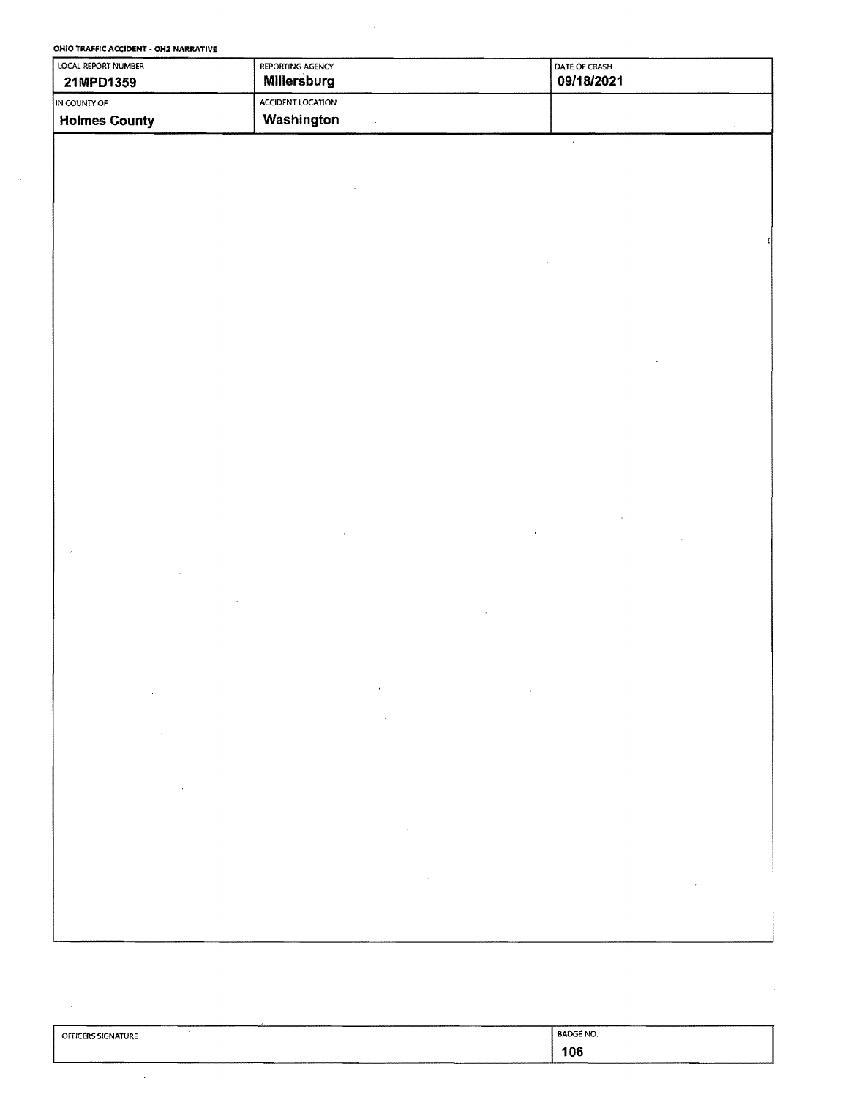**OHIO TRAFFIC ACCIDENT· OH2 NARRATIVE** 

| LOCAL REPORT NUMBER  | REPORTING AGENCY  | I DATE OF CRASH |
|----------------------|-------------------|-----------------|
| 21MPD1359            | Millersburg       | 09/18/2021      |
| IN COUNTY OF         | ACCIDENT LOCATION |                 |
| <b>Holmes County</b> | Washington        |                 |
|                      |                   |                 |

BADGE NO. OFFICERS SIGNATURE 106

 $\bar{z}$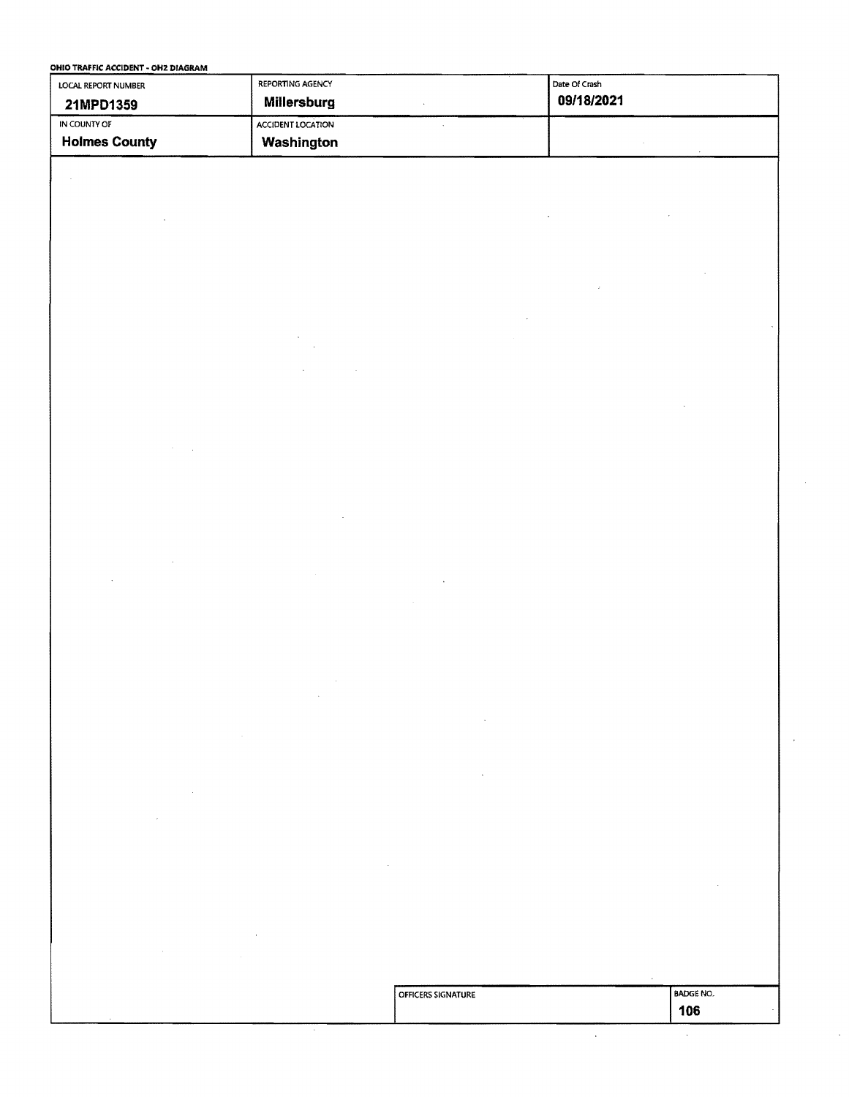|  | OHIO TRAFFIC ACCIDENT - OH2 DIAGRAM |  |
|--|-------------------------------------|--|
|  |                                     |  |

| LOCAL REPORT NUMBER<br>21MPD1359 | REPORTING AGENCY<br>Millersburg | $\ddot{\phantom{a}}$ | Date Of Crash<br>09/18/2021 |           |  |  |
|----------------------------------|---------------------------------|----------------------|-----------------------------|-----------|--|--|
| IN COUNTY OF                     | ACCIDENT LOCATION               | $\sim$               |                             |           |  |  |
| <b>Holmes County</b>             | Washington                      |                      |                             |           |  |  |
| $\lambda$                        |                                 |                      |                             |           |  |  |
|                                  |                                 |                      |                             |           |  |  |
|                                  |                                 |                      |                             |           |  |  |
|                                  |                                 |                      |                             |           |  |  |
|                                  |                                 |                      |                             |           |  |  |
|                                  |                                 |                      |                             |           |  |  |
|                                  |                                 |                      |                             |           |  |  |
|                                  |                                 |                      |                             |           |  |  |
|                                  |                                 |                      |                             |           |  |  |
|                                  |                                 |                      |                             |           |  |  |
|                                  |                                 |                      |                             |           |  |  |
|                                  |                                 |                      |                             |           |  |  |
|                                  |                                 |                      |                             |           |  |  |
|                                  |                                 |                      |                             |           |  |  |
|                                  |                                 |                      |                             |           |  |  |
|                                  |                                 |                      |                             |           |  |  |
|                                  |                                 |                      |                             |           |  |  |
|                                  |                                 |                      |                             |           |  |  |
|                                  |                                 |                      |                             |           |  |  |
|                                  |                                 |                      |                             |           |  |  |
|                                  |                                 |                      |                             |           |  |  |
|                                  |                                 |                      |                             |           |  |  |
|                                  |                                 |                      |                             |           |  |  |
|                                  |                                 |                      |                             |           |  |  |
|                                  |                                 |                      |                             |           |  |  |
|                                  |                                 |                      |                             |           |  |  |
|                                  |                                 |                      |                             |           |  |  |
|                                  |                                 |                      |                             |           |  |  |
|                                  |                                 |                      |                             |           |  |  |
|                                  |                                 |                      |                             |           |  |  |
|                                  |                                 |                      |                             |           |  |  |
|                                  |                                 |                      |                             |           |  |  |
|                                  |                                 |                      |                             |           |  |  |
|                                  |                                 |                      |                             |           |  |  |
|                                  |                                 | OFFICERS SIGNATURE   |                             | BADGE NO. |  |  |
|                                  |                                 |                      |                             | 106       |  |  |